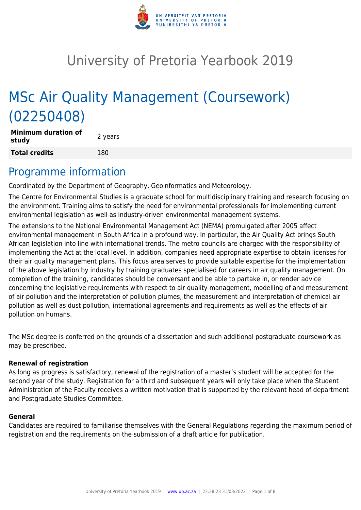

# University of Pretoria Yearbook 2019

# MSc Air Quality Management (Coursework) (02250408)

**Minimum duration of study and all study 2** years **Total credits** 180

# Programme information

Coordinated by the Department of Geography, Geoinformatics and Meteorology.

The Centre for Environmental Studies is a graduate school for multidisciplinary training and research focusing on the environment. Training aims to satisfy the need for environmental professionals for implementing current environmental legislation as well as industry-driven environmental management systems.

The extensions to the National Environmental Management Act (NEMA) promulgated after 2005 affect environmental management in South Africa in a profound way. In particular, the Air Quality Act brings South African legislation into line with international trends. The metro councils are charged with the responsibility of implementing the Act at the local level. In addition, companies need appropriate expertise to obtain licenses for their air quality management plans. This focus area serves to provide suitable expertise for the implementation of the above legislation by industry by training graduates specialised for careers in air quality management. On completion of the training, candidates should be conversant and be able to partake in, or render advice concerning the legislative requirements with respect to air quality management, modelling of and measurement of air pollution and the interpretation of pollution plumes, the measurement and interpretation of chemical air pollution as well as dust pollution, international agreements and requirements as well as the effects of air pollution on humans.

The MSc degree is conferred on the grounds of a dissertation and such additional postgraduate coursework as may be prescribed.

# **Renewal of registration**

As long as progress is satisfactory, renewal of the registration of a master's student will be accepted for the second year of the study. Registration for a third and subsequent years will only take place when the Student Administration of the Faculty receives a written motivation that is supported by the relevant head of department and Postgraduate Studies Committee.

# **General**

Candidates are required to familiarise themselves with the General Regulations regarding the maximum period of registration and the requirements on the submission of a draft article for publication.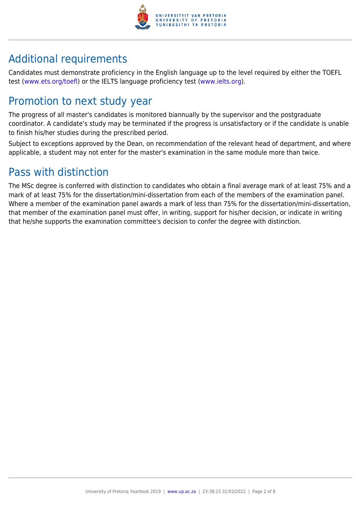

# Additional requirements

Candidates must demonstrate proficiency in the English language up to the level required by either the TOEFL test [\(www.ets.org/toefl\)](http://www.ets.org/toefl) or the IELTS language proficiency test ([www.ielts.org](http://www.ielts.org)).

# Promotion to next study year

The progress of all master's candidates is monitored biannually by the supervisor and the postgraduate coordinator. A candidate's study may be terminated if the progress is unsatisfactory or if the candidate is unable to finish his/her studies during the prescribed period.

Subject to exceptions approved by the Dean, on recommendation of the relevant head of department, and where applicable, a student may not enter for the master's examination in the same module more than twice.

# Pass with distinction

The MSc degree is conferred with distinction to candidates who obtain a final average mark of at least 75% and a mark of at least 75% for the dissertation/mini-dissertation from each of the members of the examination panel. Where a member of the examination panel awards a mark of less than 75% for the dissertation/mini-dissertation, that member of the examination panel must offer, in writing, support for his/her decision, or indicate in writing that he/she supports the examination committee's decision to confer the degree with distinction.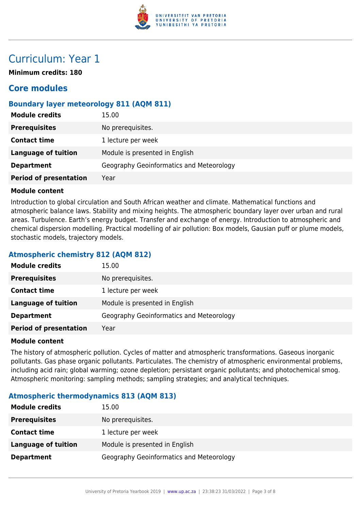

# Curriculum: Year 1

**Minimum credits: 180**

# **Core modules**

# **Boundary layer meteorology 811 (AQM 811)**

| <b>Module credits</b>         | 15.00                                    |
|-------------------------------|------------------------------------------|
| <b>Prerequisites</b>          | No prerequisites.                        |
| <b>Contact time</b>           | 1 lecture per week                       |
| Language of tuition           | Module is presented in English           |
| <b>Department</b>             | Geography Geoinformatics and Meteorology |
| <b>Period of presentation</b> | Year                                     |

### **Module content**

Introduction to global circulation and South African weather and climate. Mathematical functions and atmospheric balance laws. Stability and mixing heights. The atmospheric boundary layer over urban and rural areas. Turbulence. Earth's energy budget. Transfer and exchange of energy. Introduction to atmospheric and chemical dispersion modelling. Practical modelling of air pollution: Box models, Gausian puff or plume models, stochastic models, trajectory models.

# **Atmospheric chemistry 812 (AQM 812)**

| <b>Module credits</b>         | 15.00                                    |
|-------------------------------|------------------------------------------|
| <b>Prerequisites</b>          | No prerequisites.                        |
| <b>Contact time</b>           | 1 lecture per week                       |
| <b>Language of tuition</b>    | Module is presented in English           |
| <b>Department</b>             | Geography Geoinformatics and Meteorology |
| <b>Period of presentation</b> | Year                                     |

#### **Module content**

The history of atmospheric pollution. Cycles of matter and atmospheric transformations. Gaseous inorganic pollutants. Gas phase organic pollutants. Particulates. The chemistry of atmospheric environmental problems, including acid rain; global warming; ozone depletion; persistant organic pollutants; and photochemical smog. Atmospheric monitoring: sampling methods; sampling strategies; and analytical techniques.

# **Atmospheric thermodynamics 813 (AQM 813)**

| <b>Module credits</b>      | 15.00                                    |
|----------------------------|------------------------------------------|
| <b>Prerequisites</b>       | No prerequisites.                        |
| <b>Contact time</b>        | 1 lecture per week                       |
| <b>Language of tuition</b> | Module is presented in English           |
| <b>Department</b>          | Geography Geoinformatics and Meteorology |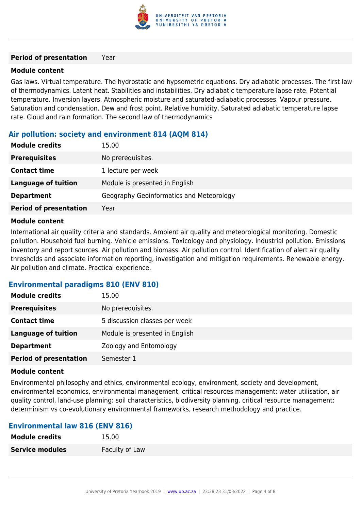

#### **Period of presentation** Year

# **Module content**

Gas laws. Virtual temperature. The hydrostatic and hypsometric equations. Dry adiabatic processes. The first law of thermodynamics. Latent heat. Stabilities and instabilities. Dry adiabatic temperature lapse rate. Potential temperature. Inversion layers. Atmospheric moisture and saturated-adiabatic processes. Vapour pressure. Saturation and condensation. Dew and frost point. Relative humidity. Saturated adiabatic temperature lapse rate. Cloud and rain formation. The second law of thermodynamics

# **Air pollution: society and environment 814 (AQM 814)**

| <b>Module credits</b>         | 15.00                                    |
|-------------------------------|------------------------------------------|
| <b>Prerequisites</b>          | No prerequisites.                        |
| <b>Contact time</b>           | 1 lecture per week                       |
| <b>Language of tuition</b>    | Module is presented in English           |
| <b>Department</b>             | Geography Geoinformatics and Meteorology |
| <b>Period of presentation</b> | Year                                     |

#### **Module content**

International air quality criteria and standards. Ambient air quality and meteorological monitoring. Domestic pollution. Household fuel burning. Vehicle emissions. Toxicology and physiology. Industrial pollution. Emissions inventory and report sources. Air pollution and biomass. Air pollution control. Identification of alert air quality thresholds and associate information reporting, investigation and mitigation requirements. Renewable energy. Air pollution and climate. Practical experience.

# **Environmental paradigms 810 (ENV 810)**

| <b>Module credits</b>         | 15.00                          |
|-------------------------------|--------------------------------|
| <b>Prerequisites</b>          | No prerequisites.              |
| <b>Contact time</b>           | 5 discussion classes per week  |
| <b>Language of tuition</b>    | Module is presented in English |
| <b>Department</b>             | Zoology and Entomology         |
| <b>Period of presentation</b> | Semester 1                     |

#### **Module content**

Environmental philosophy and ethics, environmental ecology, environment, society and development, environmental economics, environmental management, critical resources management: water utilisation, air quality control, land-use planning: soil characteristics, biodiversity planning, critical resource management: determinism vs co-evolutionary environmental frameworks, research methodology and practice.

# **Environmental law 816 (ENV 816)**

| <b>Module credits</b>  | 15.00          |
|------------------------|----------------|
| <b>Service modules</b> | Faculty of Law |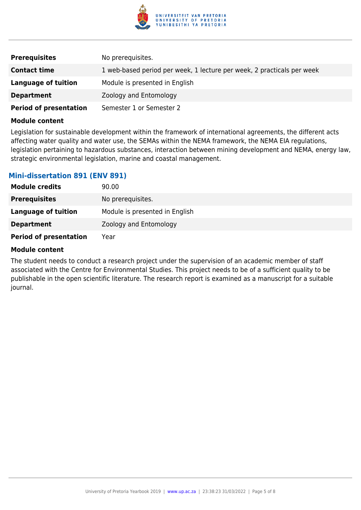

| <b>Prerequisites</b>          | No prerequisites.                                                      |
|-------------------------------|------------------------------------------------------------------------|
| <b>Contact time</b>           | 1 web-based period per week, 1 lecture per week, 2 practicals per week |
| Language of tuition           | Module is presented in English                                         |
| <b>Department</b>             | Zoology and Entomology                                                 |
| <b>Period of presentation</b> | Semester 1 or Semester 2                                               |

#### **Module content**

Legislation for sustainable development within the framework of international agreements, the different acts affecting water quality and water use, the SEMAs within the NEMA framework, the NEMA EIA regulations, legislation pertaining to hazardous substances, interaction between mining development and NEMA, energy law, strategic environmental legislation, marine and coastal management.

# **Mini-dissertation 891 (ENV 891)**

| <b>Module credits</b>         | 90.00                          |
|-------------------------------|--------------------------------|
| <b>Prerequisites</b>          | No prerequisites.              |
| <b>Language of tuition</b>    | Module is presented in English |
| <b>Department</b>             | Zoology and Entomology         |
| <b>Period of presentation</b> | Year                           |

### **Module content**

The student needs to conduct a research project under the supervision of an academic member of staff associated with the Centre for Environmental Studies. This project needs to be of a sufficient quality to be publishable in the open scientific literature. The research report is examined as a manuscript for a suitable journal.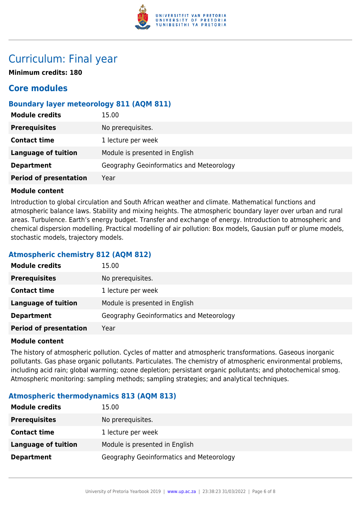

# Curriculum: Final year

**Minimum credits: 180**

# **Core modules**

# **Boundary layer meteorology 811 (AQM 811)**

| <b>Module credits</b>         | 15.00                                    |
|-------------------------------|------------------------------------------|
| <b>Prerequisites</b>          | No prerequisites.                        |
| <b>Contact time</b>           | 1 lecture per week                       |
| <b>Language of tuition</b>    | Module is presented in English           |
| <b>Department</b>             | Geography Geoinformatics and Meteorology |
| <b>Period of presentation</b> | Year                                     |

# **Module content**

Introduction to global circulation and South African weather and climate. Mathematical functions and atmospheric balance laws. Stability and mixing heights. The atmospheric boundary layer over urban and rural areas. Turbulence. Earth's energy budget. Transfer and exchange of energy. Introduction to atmospheric and chemical dispersion modelling. Practical modelling of air pollution: Box models, Gausian puff or plume models, stochastic models, trajectory models.

# **Atmospheric chemistry 812 (AQM 812)**

| <b>Module credits</b>         | 15.00                                    |
|-------------------------------|------------------------------------------|
| <b>Prerequisites</b>          | No prerequisites.                        |
| <b>Contact time</b>           | 1 lecture per week                       |
| <b>Language of tuition</b>    | Module is presented in English           |
| <b>Department</b>             | Geography Geoinformatics and Meteorology |
| <b>Period of presentation</b> | Year                                     |

# **Module content**

The history of atmospheric pollution. Cycles of matter and atmospheric transformations. Gaseous inorganic pollutants. Gas phase organic pollutants. Particulates. The chemistry of atmospheric environmental problems, including acid rain; global warming; ozone depletion; persistant organic pollutants; and photochemical smog. Atmospheric monitoring: sampling methods; sampling strategies; and analytical techniques.

# **Atmospheric thermodynamics 813 (AQM 813)**

| <b>Module credits</b>      | 15.00                                    |
|----------------------------|------------------------------------------|
| <b>Prerequisites</b>       | No prerequisites.                        |
| <b>Contact time</b>        | 1 lecture per week                       |
| <b>Language of tuition</b> | Module is presented in English           |
| <b>Department</b>          | Geography Geoinformatics and Meteorology |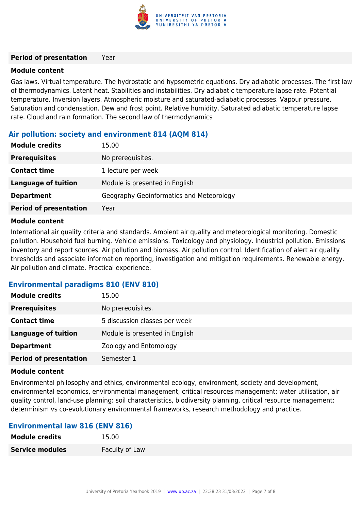

#### **Period of presentation** Year

# **Module content**

Gas laws. Virtual temperature. The hydrostatic and hypsometric equations. Dry adiabatic processes. The first law of thermodynamics. Latent heat. Stabilities and instabilities. Dry adiabatic temperature lapse rate. Potential temperature. Inversion layers. Atmospheric moisture and saturated-adiabatic processes. Vapour pressure. Saturation and condensation. Dew and frost point. Relative humidity. Saturated adiabatic temperature lapse rate. Cloud and rain formation. The second law of thermodynamics

# **Air pollution: society and environment 814 (AQM 814)**

| <b>Module credits</b>         | 15.00                                    |
|-------------------------------|------------------------------------------|
| <b>Prerequisites</b>          | No prerequisites.                        |
| <b>Contact time</b>           | 1 lecture per week                       |
| <b>Language of tuition</b>    | Module is presented in English           |
| <b>Department</b>             | Geography Geoinformatics and Meteorology |
| <b>Period of presentation</b> | Year                                     |

#### **Module content**

International air quality criteria and standards. Ambient air quality and meteorological monitoring. Domestic pollution. Household fuel burning. Vehicle emissions. Toxicology and physiology. Industrial pollution. Emissions inventory and report sources. Air pollution and biomass. Air pollution control. Identification of alert air quality thresholds and associate information reporting, investigation and mitigation requirements. Renewable energy. Air pollution and climate. Practical experience.

# **Environmental paradigms 810 (ENV 810)**

| <b>Module credits</b>         | 15.00                          |
|-------------------------------|--------------------------------|
| <b>Prerequisites</b>          | No prerequisites.              |
| <b>Contact time</b>           | 5 discussion classes per week  |
| <b>Language of tuition</b>    | Module is presented in English |
| <b>Department</b>             | Zoology and Entomology         |
| <b>Period of presentation</b> | Semester 1                     |

#### **Module content**

Environmental philosophy and ethics, environmental ecology, environment, society and development, environmental economics, environmental management, critical resources management: water utilisation, air quality control, land-use planning: soil characteristics, biodiversity planning, critical resource management: determinism vs co-evolutionary environmental frameworks, research methodology and practice.

# **Environmental law 816 (ENV 816)**

| <b>Module credits</b>  | 15.00          |
|------------------------|----------------|
| <b>Service modules</b> | Faculty of Law |